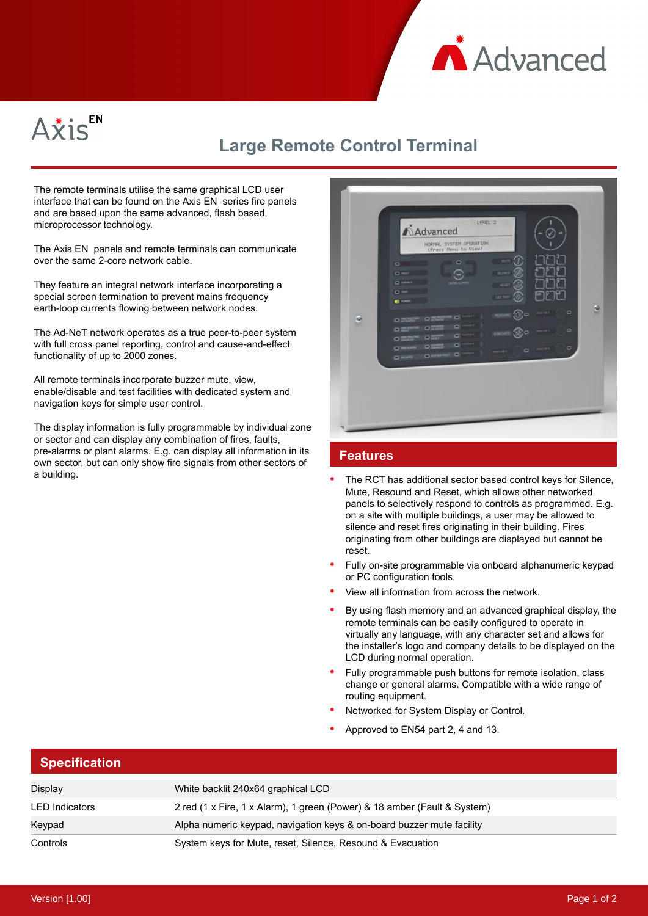



## **Large Remote Control Terminal**

The remote terminals utilise the same graphical LCD user interface that can be found on the Axis EN series fire panels and are based upon the same advanced, flash based, microprocessor technology.

The Axis EN panels and remote terminals can communicate over the same 2-core network cable.

They feature an integral network interface incorporating a special screen termination to prevent mains frequency earth-loop currents flowing between network nodes.

The Ad-NeT network operates as a true peer-to-peer system with full cross panel reporting, control and cause-and-effect functionality of up to 2000 zones.

All remote terminals incorporate buzzer mute, view, enable/disable and test facilities with dedicated system and navigation keys for simple user control.

The display information is fully programmable by individual zone or sector and can display any combination of fires, faults, pre-alarms or plant alarms. E.g. can display all information in its own sector, but can only show fire signals from other sectors of a building.

|--|

## **Features**

- The RCT has additional sector based control keys for Silence, Mute, Resound and Reset, which allows other networked panels to selectively respond to controls as programmed. E.g. on a site with multiple buildings, a user may be allowed to silence and reset fires originating in their building. Fires originating from other buildings are displayed but cannot be reset.
- Fully on-site programmable via onboard alphanumeric keypad or PC configuration tools.
- View all information from across the network.
- By using flash memory and an advanced graphical display, the remote terminals can be easily configured to operate in virtually any language, with any character set and allows for the installer's logo and company details to be displayed on the LCD during normal operation.
- Fully programmable push buttons for remote isolation, class change or general alarms. Compatible with a wide range of routing equipment.
- Networked for System Display or Control.
- Approved to EN54 part 2, 4 and 13.

## **Specification**

| Display               | White backlit 240x64 graphical LCD                                       |
|-----------------------|--------------------------------------------------------------------------|
| <b>LED</b> Indicators | 2 red (1 x Fire, 1 x Alarm), 1 green (Power) & 18 amber (Fault & System) |
| Keypad                | Alpha numeric keypad, navigation keys & on-board buzzer mute facility    |
| Controls              | System keys for Mute, reset, Silence, Resound & Evacuation               |